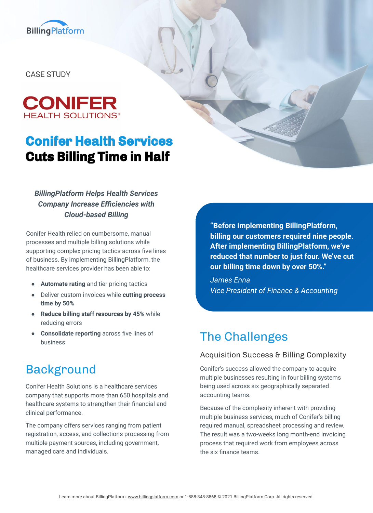

CASE STUDY



# **Conifer Health Services Cuts Billing Time in Half**

### *BillingPlatform Helps Health Services Company Increase Efficiencies with Cloud-based Billing*

Conifer Health relied on cumbersome, manual processes and multiple billing solutions while supporting complex pricing tactics across five lines of business. By implementing BillingPlatform, the healthcare services provider has been able to:

- **Automate rating** and tier pricing tactics
- Deliver custom invoices while **cutting process time by 50%**
- **Reduce billing staff resources by 45%** while reducing errors
- **Consolidate reporting** across five lines of business

## Background

Conifer Health Solutions is a healthcare services company that supports more than 650 hospitals and healthcare systems to strengthen their financial and clinical performance.

The company offers services ranging from patient registration, access, and collections processing from multiple payment sources, including government, managed care and individuals.

**"Before implementing BillingPlatform, billing our customers required nine people. After implementing BillingPlatform, we've reduced that number to just four. We've cut our billing time down by over 50%."**

*James Enna Vice President of Finance & Accounting*

# The Challenges

### Acquisition Success & Billing Complexity

Conifer's success allowed the company to acquire multiple businesses resulting in four billing systems being used across six geographically separated accounting teams.

Because of the complexity inherent with providing multiple business services, much of Conifer's billing required manual, spreadsheet processing and review. The result was a two-weeks long month-end invoicing process that required work from employees across the six finance teams.